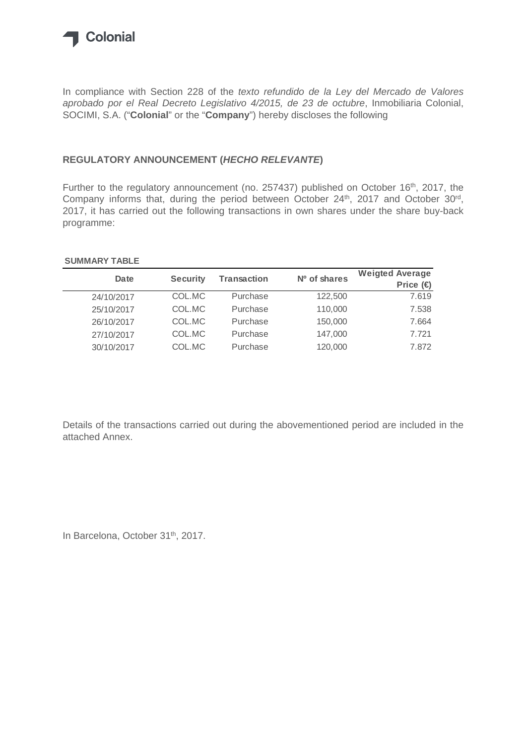

In compliance with Section 228 of the *texto refundido de la Ley del Mercado de Valores aprobado por el Real Decreto Legislativo 4/2015, de 23 de octubre*, Inmobiliaria Colonial, SOCIMI, S.A. ("**Colonial**" or the "**Company**") hereby discloses the following

## **REGULATORY ANNOUNCEMENT (***HECHO RELEVANTE***)**

Further to the regulatory announcement (no. 257437) published on October 16<sup>th</sup>, 2017, the Company informs that, during the period between October 24<sup>th</sup>, 2017 and October 30<sup>rd</sup>, 2017, it has carried out the following transactions in own shares under the share buy-back programme:

## **SUMMARY TABLE**

| <b>Date</b> | <b>Security</b> | <b>Transaction</b> | Nº of shares | <b>Weigted Average</b><br>Price $\bigoplus$ |
|-------------|-----------------|--------------------|--------------|---------------------------------------------|
| 24/10/2017  | COL.MC          | Purchase           | 122,500      | 7.619                                       |
| 25/10/2017  | COL.MC          | Purchase           | 110,000      | 7.538                                       |
| 26/10/2017  | COL.MC          | Purchase           | 150,000      | 7.664                                       |
| 27/10/2017  | COL.MC          | Purchase           | 147,000      | 7.721                                       |
| 30/10/2017  | COL.MC          | Purchase           | 120,000      | 7.872                                       |

Details of the transactions carried out during the abovementioned period are included in the attached Annex.

In Barcelona, October 31<sup>th</sup>, 2017.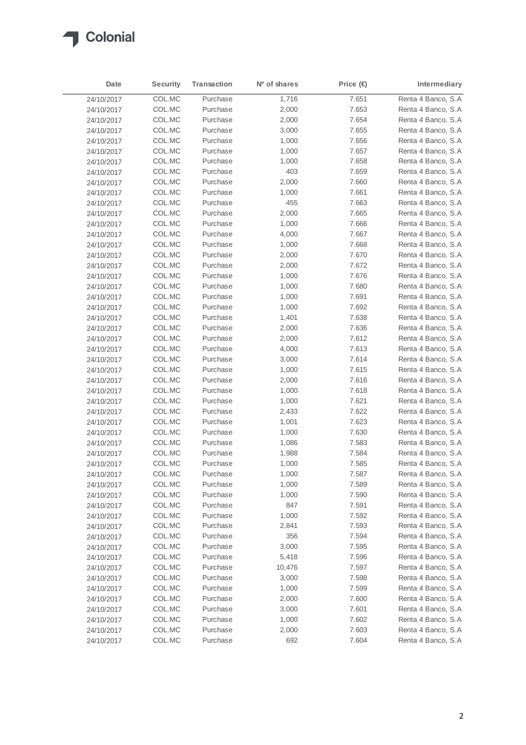

| Date       | <b>Security</b> | Transaction | Nº of shares | Price $\bigoplus$ | Intermediary        |
|------------|-----------------|-------------|--------------|-------------------|---------------------|
| 24/10/2017 | COL.MC          | Purchase    | 1,716        | 7.651             | Renta 4 Banco, S.A  |
| 24/10/2017 | COL.MC          | Purchase    | 2,000        | 7.653             | Renta 4 Banco, S.A  |
| 24/10/2017 | COL.MC          | Purchase    | 2,000        | 7.654             | Renta 4 Banco, S.A  |
| 24/10/2017 | COL.MC          | Purchase    | 3,000        | 7.655             | Renta 4 Banco, S.A  |
| 24/10/2017 | COL.MC          | Purchase    | 1,000        | 7.656             | Renta 4 Banco, S.A  |
| 24/10/2017 | COL.MC          | Purchase    | 1,000        | 7.657             | Renta 4 Banco, S.A  |
| 24/10/2017 | COL.MC          | Purchase    | 1,000        | 7.658             | Renta 4 Banco, S.A  |
| 24/10/2017 | COL.MC          | Purchase    | 403          | 7.659             | Renta 4 Banco, S.A  |
| 24/10/2017 | COL.MC          | Purchase    | 2,000        | 7.660             | Renta 4 Banco, S.A  |
| 24/10/2017 | COL.MC          | Purchase    | 1,000        | 7.661             | Renta 4 Banco, S.A  |
| 24/10/2017 | COL.MC          | Purchase    | 455          | 7.663             | Renta 4 Banco, S.A  |
| 24/10/2017 | COL.MC          | Purchase    | 2,000        | 7.665             | Renta 4 Banco, S.A  |
| 24/10/2017 | COL.MC          | Purchase    | 1,000        | 7.666             | Renta 4 Banco, S.A  |
| 24/10/2017 | COL.MC          | Purchase    | 4,000        | 7.667             | Renta 4 Banco, S.A  |
| 24/10/2017 | COL.MC          | Purchase    | 1,000        | 7.668             | Renta 4 Banco, S.A  |
| 24/10/2017 | COL.MC          | Purchase    | 2,000        | 7.670             | Renta 4 Banco, S.A  |
| 24/10/2017 | COL.MC          | Purchase    | 2,000        | 7.672             | Renta 4 Banco, S.A  |
| 24/10/2017 | COL.MC          | Purchase    | 1,000        | 7.676             | Renta 4 Banco, S.A  |
| 24/10/2017 | COL.MC          | Purchase    | 1,000        | 7.680             | Renta 4 Banco, S.A  |
| 24/10/2017 | COL.MC          | Purchase    | 1,000        | 7.691             | Renta 4 Banco, S.A  |
| 24/10/2017 | COL.MC          | Purchase    | 1,000        | 7.692             | Renta 4 Banco, S.A  |
| 24/10/2017 | COL.MC          | Purchase    | 1,401        | 7.638             | Renta 4 Banco, S.A  |
| 24/10/2017 | COL.MC          | Purchase    | 2,000        | 7.636             | Renta 4 Banco, S.A  |
| 24/10/2017 | COL.MC          | Purchase    | 2,000        | 7.612             | Renta 4 Banco, S.A  |
| 24/10/2017 | COL.MC          | Purchase    | 4,000        | 7.613             | Renta 4 Banco, S.A  |
| 24/10/2017 | COL.MC          | Purchase    | 3,000        | 7.614             | Renta 4 Banco, S.A  |
| 24/10/2017 | COL.MC          | Purchase    | 1,000        | 7.615             | Renta 4 Banco, S.A  |
| 24/10/2017 | COL.MC          | Purchase    | 2,000        | 7.616             | Renta 4 Banco, S.A. |
| 24/10/2017 | COL.MC          | Purchase    | 1,000        | 7.618             | Renta 4 Banco, S.A  |
| 24/10/2017 | COL.MC          | Purchase    | 1,000        | 7.621             | Renta 4 Banco, S.A  |
| 24/10/2017 | COL.MC          | Purchase    | 2,433        | 7.622             | Renta 4 Banco, S.A  |
| 24/10/2017 | COL.MC          | Purchase    | 1,001        | 7.623             | Renta 4 Banco, S.A  |
| 24/10/2017 | COL.MC          | Purchase    | 1,000        | 7.630             | Renta 4 Banco, S.A  |
| 24/10/2017 | COL.MC          | Purchase    | 1,086        | 7.583             | Renta 4 Banco, S.A  |
| 24/10/2017 | COL.MC          | Purchase    | 1,988        | 7.584             | Renta 4 Banco, S.A  |
| 24/10/2017 | COL.MC          | Purchase    | 1,000        | 7.585             | Renta 4 Banco, S.A  |
| 24/10/2017 | COL.MC          | Purchase    | 1,000        | 7.587             | Renta 4 Banco, S.A  |
| 24/10/2017 | COL.MC          | Purchase    | 1,000        | 7.589             | Renta 4 Banco, S.A  |
| 24/10/2017 | COL.MC          | Purchase    | 1,000        | 7.590             | Renta 4 Banco, S.A  |
| 24/10/2017 | COL.MC          | Purchase    | 847          | 7.591             | Renta 4 Banco, S.A  |
| 24/10/2017 | COL.MC          | Purchase    | 1,000        | 7.592             | Renta 4 Banco, S.A  |
| 24/10/2017 | COL.MC          | Purchase    | 2,841        | 7.593             | Renta 4 Banco, S.A  |
| 24/10/2017 | COL.MC          | Purchase    | 356          | 7.594             | Renta 4 Banco, S.A  |
| 24/10/2017 | COL.MC          | Purchase    | 3,000        | 7.595             | Renta 4 Banco, S.A  |
| 24/10/2017 | COL.MC          | Purchase    | 5,418        | 7.596             | Renta 4 Banco, S.A  |
| 24/10/2017 | COL.MC          | Purchase    | 10,476       | 7.597             | Renta 4 Banco, S.A  |
| 24/10/2017 | COL.MC          | Purchase    | 3,000        | 7.598             | Renta 4 Banco, S.A  |
| 24/10/2017 | COL.MC          | Purchase    | 1,000        | 7.599             | Renta 4 Banco, S.A  |
| 24/10/2017 | COL.MC          | Purchase    | 2,000        | 7.600             | Renta 4 Banco, S.A  |
| 24/10/2017 | COL.MC          | Purchase    | 3,000        | 7.601             | Renta 4 Banco, S.A  |
| 24/10/2017 | COL.MC          | Purchase    | 1,000        | 7.602             | Renta 4 Banco, S.A  |
| 24/10/2017 | COL.MC          | Purchase    | 2,000        | 7.603             | Renta 4 Banco, S.A  |
| 24/10/2017 | COL.MC          | Purchase    | 692          | 7.604             | Renta 4 Banco, S.A  |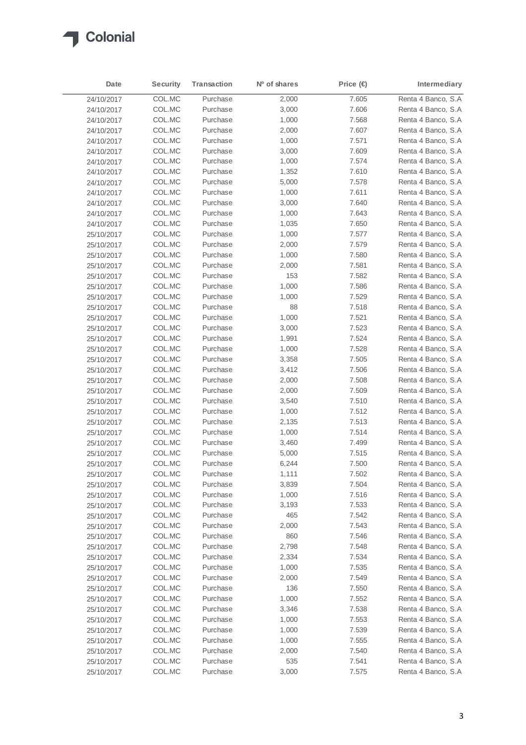

| Date       | <b>Security</b> | Transaction | Nº of shares | Price (€) | Intermediary       |
|------------|-----------------|-------------|--------------|-----------|--------------------|
| 24/10/2017 | COL.MC          | Purchase    | 2,000        | 7.605     | Renta 4 Banco, S.A |
| 24/10/2017 | COL.MC          | Purchase    | 3,000        | 7.606     | Renta 4 Banco, S.A |
| 24/10/2017 | COL.MC          | Purchase    | 1,000        | 7.568     | Renta 4 Banco, S.A |
| 24/10/2017 | COL.MC          | Purchase    | 2,000        | 7.607     | Renta 4 Banco, S.A |
| 24/10/2017 | COL.MC          | Purchase    | 1,000        | 7.571     | Renta 4 Banco, S.A |
| 24/10/2017 | COL.MC          | Purchase    | 3,000        | 7.609     | Renta 4 Banco, S.A |
| 24/10/2017 | COL.MC          | Purchase    | 1,000        | 7.574     | Renta 4 Banco, S.A |
| 24/10/2017 | COL.MC          | Purchase    | 1,352        | 7.610     | Renta 4 Banco, S.A |
| 24/10/2017 | COL.MC          | Purchase    | 5,000        | 7.578     | Renta 4 Banco, S.A |
| 24/10/2017 | COL.MC          | Purchase    | 1,000        | 7.611     | Renta 4 Banco, S.A |
| 24/10/2017 | COL.MC          | Purchase    | 3,000        | 7.640     | Renta 4 Banco, S.A |
| 24/10/2017 | COL.MC          | Purchase    | 1,000        | 7.643     | Renta 4 Banco, S.A |
| 24/10/2017 | COL.MC          | Purchase    | 1,035        | 7.650     | Renta 4 Banco, S.A |
| 25/10/2017 | COL.MC          | Purchase    | 1,000        | 7.577     | Renta 4 Banco, S.A |
| 25/10/2017 | COL.MC          | Purchase    | 2,000        | 7.579     | Renta 4 Banco, S.A |
| 25/10/2017 | COL.MC          | Purchase    | 1,000        | 7.580     | Renta 4 Banco, S.A |
| 25/10/2017 | COL.MC          | Purchase    | 2,000        | 7.581     | Renta 4 Banco, S.A |
| 25/10/2017 | COL.MC          | Purchase    | 153          | 7.582     | Renta 4 Banco, S.A |
| 25/10/2017 | COL.MC          | Purchase    | 1,000        | 7.586     | Renta 4 Banco, S.A |
| 25/10/2017 | COL.MC          | Purchase    | 1,000        | 7.529     | Renta 4 Banco, S.A |
| 25/10/2017 | COL.MC          | Purchase    | 88           | 7.518     | Renta 4 Banco, S.A |
| 25/10/2017 | COL.MC          | Purchase    | 1,000        | 7.521     | Renta 4 Banco, S.A |
| 25/10/2017 | COL.MC          | Purchase    | 3,000        | 7.523     | Renta 4 Banco, S.A |
| 25/10/2017 | COL.MC          | Purchase    | 1,991        | 7.524     | Renta 4 Banco, S.A |
| 25/10/2017 | COL.MC          | Purchase    | 1,000        | 7.528     | Renta 4 Banco, S.A |
| 25/10/2017 | COL.MC          | Purchase    | 3,358        | 7.505     | Renta 4 Banco, S.A |
| 25/10/2017 | COL.MC          | Purchase    | 3,412        | 7.506     | Renta 4 Banco, S.A |
| 25/10/2017 | COL.MC          | Purchase    | 2,000        | 7.508     | Renta 4 Banco, S.A |
| 25/10/2017 | COL.MC          | Purchase    | 2,000        | 7.509     | Renta 4 Banco, S.A |
| 25/10/2017 | COL.MC          | Purchase    | 3,540        | 7.510     | Renta 4 Banco, S.A |
| 25/10/2017 | COL.MC          | Purchase    | 1,000        | 7.512     | Renta 4 Banco, S.A |
| 25/10/2017 | COL.MC          | Purchase    | 2,135        | 7.513     | Renta 4 Banco, S.A |
| 25/10/2017 | COL.MC          | Purchase    | 1,000        | 7.514     | Renta 4 Banco, S.A |
| 25/10/2017 | COL.MC          | Purchase    | 3,460        | 7.499     | Renta 4 Banco, S.A |
| 25/10/2017 | COL.MC          | Purchase    | 5,000        | 7.515     | Renta 4 Banco, S.A |
| 25/10/2017 | COL.MC          | Purchase    | 6,244        | 7.500     | Renta 4 Banco, S.A |
| 25/10/2017 | COL.MC          | Purchase    | 1,111        | 7.502     | Renta 4 Banco, S.A |
| 25/10/2017 | COL.MC          | Purchase    | 3,839        | 7.504     | Renta 4 Banco, S.A |
| 25/10/2017 | COL.MC          | Purchase    | 1,000        | 7.516     | Renta 4 Banco, S.A |
| 25/10/2017 | COL.MC          | Purchase    | 3,193        | 7.533     | Renta 4 Banco, S.A |
| 25/10/2017 | COL.MC          | Purchase    | 465          | 7.542     | Renta 4 Banco, S.A |
| 25/10/2017 | COL.MC          | Purchase    | 2,000        | 7.543     | Renta 4 Banco, S.A |
| 25/10/2017 | COL.MC          | Purchase    | 860          | 7.546     | Renta 4 Banco, S.A |
| 25/10/2017 | COL.MC          | Purchase    | 2,798        | 7.548     | Renta 4 Banco, S.A |
| 25/10/2017 | COL.MC          | Purchase    | 2,334        | 7.534     | Renta 4 Banco, S.A |
| 25/10/2017 | COL.MC          | Purchase    | 1,000        | 7.535     | Renta 4 Banco, S.A |
| 25/10/2017 | COL.MC          | Purchase    | 2,000        | 7.549     | Renta 4 Banco, S.A |
| 25/10/2017 | COL.MC          | Purchase    | 136          | 7.550     | Renta 4 Banco, S.A |
| 25/10/2017 | COL.MC          | Purchase    | 1,000        | 7.552     | Renta 4 Banco, S.A |
| 25/10/2017 | COL.MC          | Purchase    | 3,346        | 7.538     | Renta 4 Banco, S.A |
| 25/10/2017 | COL.MC          | Purchase    | 1,000        | 7.553     | Renta 4 Banco, S.A |
| 25/10/2017 | COL.MC          | Purchase    | 1,000        | 7.539     | Renta 4 Banco, S.A |
| 25/10/2017 | COL.MC          | Purchase    | 1,000        | 7.555     | Renta 4 Banco, S.A |
| 25/10/2017 | COL.MC          | Purchase    | 2,000        | 7.540     | Renta 4 Banco, S.A |
| 25/10/2017 | COL.MC          | Purchase    | 535          | 7.541     | Renta 4 Banco, S.A |
| 25/10/2017 | COL.MC          | Purchase    | 3,000        | 7.575     | Renta 4 Banco, S.A |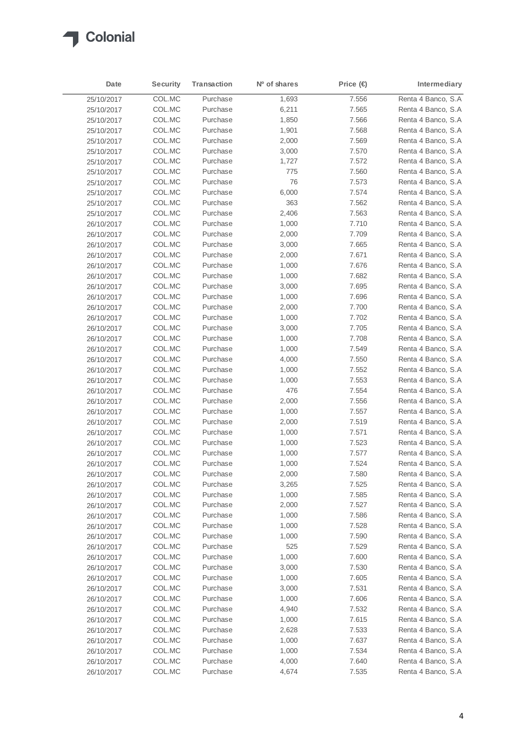

| Date                     | <b>Security</b> | Transaction | Nº of shares | Price $\bigoplus$ | Intermediary        |
|--------------------------|-----------------|-------------|--------------|-------------------|---------------------|
| 25/10/2017               | COL.MC          | Purchase    | 1,693        | 7.556             | Renta 4 Banco, S.A  |
| 25/10/2017               | COL.MC          | Purchase    | 6,211        | 7.565             | Renta 4 Banco, S.A  |
| 25/10/2017               | COL.MC          | Purchase    | 1,850        | 7.566             | Renta 4 Banco, S.A  |
| 25/10/2017               | COL.MC          | Purchase    | 1,901        | 7.568             | Renta 4 Banco, S.A  |
| 25/10/2017               | COL.MC          | Purchase    | 2,000        | 7.569             | Renta 4 Banco, S.A  |
| 25/10/2017               | COL.MC          | Purchase    | 3,000        | 7.570             | Renta 4 Banco, S.A  |
| 25/10/2017               | COL.MC          | Purchase    | 1,727        | 7.572             | Renta 4 Banco, S.A  |
| 25/10/2017               | COL.MC          | Purchase    | 775          | 7.560             | Renta 4 Banco, S.A  |
| 25/10/2017               | COL.MC          | Purchase    | 76           | 7.573             | Renta 4 Banco, S.A  |
| 25/10/2017               | COL.MC          | Purchase    | 6,000        | 7.574             | Renta 4 Banco, S.A  |
| 25/10/2017               | COL.MC          | Purchase    | 363          | 7.562             | Renta 4 Banco, S.A  |
| 25/10/2017               | COL.MC          | Purchase    | 2,406        | 7.563             | Renta 4 Banco, S.A  |
| 26/10/2017               | COL.MC          | Purchase    | 1,000        | 7.710             | Renta 4 Banco, S.A  |
| 26/10/2017               | COL.MC          | Purchase    | 2,000        | 7.709             | Renta 4 Banco, S.A  |
|                          | COL.MC          | Purchase    | 3,000        | 7.665             | Renta 4 Banco, S.A  |
| 26/10/2017<br>26/10/2017 | COL.MC          | Purchase    | 2,000        | 7.671             | Renta 4 Banco, S.A  |
|                          | COL.MC          | Purchase    | 1,000        | 7.676             | Renta 4 Banco, S.A  |
| 26/10/2017               | COL.MC          | Purchase    |              | 7.682             | Renta 4 Banco, S.A  |
| 26/10/2017               |                 |             | 1,000        |                   |                     |
| 26/10/2017               | COL.MC          | Purchase    | 3,000        | 7.695             | Renta 4 Banco, S.A  |
| 26/10/2017               | COL.MC          | Purchase    | 1,000        | 7.696             | Renta 4 Banco, S.A  |
| 26/10/2017               | COL.MC          | Purchase    | 2,000        | 7.700             | Renta 4 Banco, S.A  |
| 26/10/2017               | COL.MC          | Purchase    | 1,000        | 7.702             | Renta 4 Banco, S.A  |
| 26/10/2017               | COL.MC          | Purchase    | 3,000        | 7.705             | Renta 4 Banco, S.A  |
| 26/10/2017               | COL.MC          | Purchase    | 1,000        | 7.708             | Renta 4 Banco, S.A  |
| 26/10/2017               | COL.MC          | Purchase    | 1,000        | 7.549             | Renta 4 Banco, S.A  |
| 26/10/2017               | COL.MC          | Purchase    | 4,000        | 7.550             | Renta 4 Banco, S.A  |
| 26/10/2017               | COL.MC          | Purchase    | 1,000        | 7.552             | Renta 4 Banco, S.A  |
| 26/10/2017               | COL.MC          | Purchase    | 1,000        | 7.553             | Renta 4 Banco, S.A. |
| 26/10/2017               | COL.MC          | Purchase    | 476          | 7.554             | Renta 4 Banco, S.A  |
| 26/10/2017               | COL.MC          | Purchase    | 2,000        | 7.556             | Renta 4 Banco, S.A  |
| 26/10/2017               | COL.MC          | Purchase    | 1,000        | 7.557             | Renta 4 Banco, S.A  |
| 26/10/2017               | COL.MC          | Purchase    | 2,000        | 7.519             | Renta 4 Banco, S.A  |
| 26/10/2017               | COL.MC          | Purchase    | 1,000        | 7.571             | Renta 4 Banco, S.A  |
| 26/10/2017               | COL.MC          | Purchase    | 1,000        | 7.523             | Renta 4 Banco, S.A  |
| 26/10/2017               | COL.MC          | Purchase    | 1,000        | 7.577             | Renta 4 Banco, S.A  |
| 26/10/2017               | COL.MC          | Purchase    | 1,000        | 7.524             | Renta 4 Banco, S.A  |
| 26/10/2017               | COL.MC          | Purchase    | 2,000        | 7.580             | Renta 4 Banco, S.A  |
| 26/10/2017               | COL.MC          | Purchase    | 3,265        | 7.525             | Renta 4 Banco, S.A  |
| 26/10/2017               | COL.MC          | Purchase    | 1,000        | 7.585             | Renta 4 Banco, S.A  |
| 26/10/2017               | COL.MC          | Purchase    | 2,000        | 7.527             | Renta 4 Banco, S.A  |
| 26/10/2017               | COL.MC          | Purchase    | 1,000        | 7.586             | Renta 4 Banco, S.A  |
| 26/10/2017               | COL.MC          | Purchase    | 1,000        | 7.528             | Renta 4 Banco, S.A  |
| 26/10/2017               | COL.MC          | Purchase    | 1,000        | 7.590             | Renta 4 Banco, S.A  |
| 26/10/2017               | COL.MC          | Purchase    | 525          | 7.529             | Renta 4 Banco, S.A  |
| 26/10/2017               | COL.MC          | Purchase    | 1,000        | 7.600             | Renta 4 Banco, S.A  |
| 26/10/2017               | COL.MC          | Purchase    | 3,000        | 7.530             | Renta 4 Banco, S.A  |
| 26/10/2017               | COL.MC          | Purchase    | 1,000        | 7.605             | Renta 4 Banco, S.A  |
| 26/10/2017               | COL.MC          | Purchase    | 3,000        | 7.531             | Renta 4 Banco, S.A. |
| 26/10/2017               | COL.MC          | Purchase    | 1,000        | 7.606             | Renta 4 Banco, S.A  |
| 26/10/2017               | COL.MC          | Purchase    | 4,940        | 7.532             | Renta 4 Banco, S.A  |
| 26/10/2017               | COL.MC          | Purchase    | 1,000        | 7.615             | Renta 4 Banco, S.A  |
| 26/10/2017               | COL.MC          | Purchase    | 2,628        | 7.533             | Renta 4 Banco, S.A  |
| 26/10/2017               | COL.MC          | Purchase    | 1,000        | 7.637             | Renta 4 Banco, S.A  |
| 26/10/2017               | COL.MC          | Purchase    | 1,000        | 7.534             | Renta 4 Banco, S.A  |
| 26/10/2017               | COL.MC          | Purchase    | 4,000        | 7.640             | Renta 4 Banco, S.A  |
| 26/10/2017               | COL.MC          | Purchase    | 4,674        | 7.535             | Renta 4 Banco, S.A  |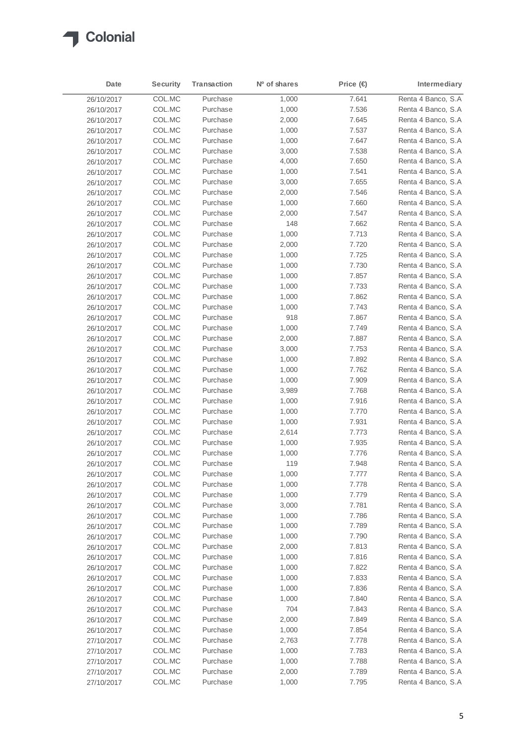

| Date       | <b>Security</b> | Transaction          | Nº of shares | Price $\bigoplus$ | Intermediary       |
|------------|-----------------|----------------------|--------------|-------------------|--------------------|
| 26/10/2017 | COL.MC          | Purchase             | 1,000        | 7.641             | Renta 4 Banco, S.A |
| 26/10/2017 | COL.MC          | Purchase             | 1,000        | 7.536             | Renta 4 Banco, S.A |
| 26/10/2017 | COL.MC          | Purchase             | 2,000        | 7.645             | Renta 4 Banco, S.A |
| 26/10/2017 | COL.MC          | Purchase             | 1,000        | 7.537             | Renta 4 Banco, S.A |
| 26/10/2017 | COL.MC          | Purchase             | 1,000        | 7.647             | Renta 4 Banco, S.A |
| 26/10/2017 | COL.MC          | Purchase             | 3,000        | 7.538             | Renta 4 Banco, S.A |
| 26/10/2017 | COL.MC          | Purchase             | 4,000        | 7.650             | Renta 4 Banco, S.A |
| 26/10/2017 | COL.MC          | Purchase             | 1,000        | 7.541             | Renta 4 Banco, S.A |
| 26/10/2017 | COL.MC          | Purchase             | 3,000        | 7.655             | Renta 4 Banco, S.A |
| 26/10/2017 | COL.MC          | Purchase             | 2,000        | 7.546             | Renta 4 Banco, S.A |
| 26/10/2017 | COL.MC          | Purchase             | 1,000        | 7.660             | Renta 4 Banco, S.A |
| 26/10/2017 | COL.MC          | Purchase             | 2,000        | 7.547             | Renta 4 Banco, S.A |
| 26/10/2017 | COL.MC          | Purchase             | 148          | 7.662             | Renta 4 Banco, S.A |
| 26/10/2017 | COL.MC          | Purchase             | 1,000        | 7.713             | Renta 4 Banco, S.A |
|            | COL.MC          | Purchase             |              | 7.720             | Renta 4 Banco, S.A |
| 26/10/2017 |                 | Purchase             | 2,000        |                   | Renta 4 Banco, S.A |
| 26/10/2017 | COL.MC          |                      | 1,000        | 7.725             | Renta 4 Banco, S.A |
| 26/10/2017 | COL.MC          | Purchase<br>Purchase | 1,000        | 7.730             |                    |
| 26/10/2017 | COL.MC          |                      | 1,000        | 7.857             | Renta 4 Banco, S.A |
| 26/10/2017 | COL.MC          | Purchase             | 1,000        | 7.733             | Renta 4 Banco, S.A |
| 26/10/2017 | COL.MC          | Purchase             | 1,000        | 7.862             | Renta 4 Banco, S.A |
| 26/10/2017 | COL.MC          | Purchase             | 1,000        | 7.743             | Renta 4 Banco, S.A |
| 26/10/2017 | COL.MC          | Purchase             | 918          | 7.867             | Renta 4 Banco, S.A |
| 26/10/2017 | COL.MC          | Purchase             | 1,000        | 7.749             | Renta 4 Banco, S.A |
| 26/10/2017 | COL.MC          | Purchase             | 2,000        | 7.887             | Renta 4 Banco, S.A |
| 26/10/2017 | COL.MC          | Purchase             | 3,000        | 7.753             | Renta 4 Banco, S.A |
| 26/10/2017 | COL.MC          | Purchase             | 1,000        | 7.892             | Renta 4 Banco, S.A |
| 26/10/2017 | COL.MC          | Purchase             | 1,000        | 7.762             | Renta 4 Banco, S.A |
| 26/10/2017 | COL.MC          | Purchase             | 1,000        | 7.909             | Renta 4 Banco, S.A |
| 26/10/2017 | COL.MC          | Purchase             | 3,989        | 7.768             | Renta 4 Banco, S.A |
| 26/10/2017 | COL.MC          | Purchase             | 1,000        | 7.916             | Renta 4 Banco, S.A |
| 26/10/2017 | COL.MC          | Purchase             | 1,000        | 7.770             | Renta 4 Banco, S.A |
| 26/10/2017 | COL.MC          | Purchase             | 1,000        | 7.931             | Renta 4 Banco, S.A |
| 26/10/2017 | COL.MC          | Purchase             | 2,614        | 7.773             | Renta 4 Banco, S.A |
| 26/10/2017 | COL.MC          | Purchase             | 1,000        | 7.935             | Renta 4 Banco, S.A |
| 26/10/2017 | COL.MC          | Purchase             | 1,000        | 7.776             | Renta 4 Banco, S.A |
| 26/10/2017 | COL.MC          | Purchase             | 119          | 7.948             | Renta 4 Banco, S.A |
| 26/10/2017 | COL.MC          | Purchase             | 1,000        | 7.777             | Renta 4 Banco, S.A |
| 26/10/2017 | COL.MC          | Purchase             | 1,000        | 7.778             | Renta 4 Banco, S.A |
| 26/10/2017 | COL.MC          | Purchase             | 1,000        | 7.779             | Renta 4 Banco, S.A |
| 26/10/2017 | COL.MC          | Purchase             | 3,000        | 7.781             | Renta 4 Banco, S.A |
| 26/10/2017 | COL.MC          | Purchase             | 1,000        | 7.786             | Renta 4 Banco, S.A |
| 26/10/2017 | COL.MC          | Purchase             | 1,000        | 7.789             | Renta 4 Banco, S.A |
| 26/10/2017 | COL.MC          | Purchase             | 1,000        | 7.790             | Renta 4 Banco, S.A |
| 26/10/2017 | COL.MC          | Purchase             | 2,000        | 7.813             | Renta 4 Banco, S.A |
| 26/10/2017 | COL.MC          | Purchase             | 1,000        | 7.816             | Renta 4 Banco, S.A |
| 26/10/2017 | COL.MC          | Purchase             | 1,000        | 7.822             | Renta 4 Banco, S.A |
| 26/10/2017 | COL.MC          | Purchase             | 1,000        | 7.833             | Renta 4 Banco, S.A |
| 26/10/2017 | COL.MC          | Purchase             | 1,000        | 7.836             | Renta 4 Banco, S.A |
| 26/10/2017 | COL.MC          | Purchase             | 1,000        | 7.840             | Renta 4 Banco, S.A |
| 26/10/2017 | COL.MC          | Purchase             | 704          | 7.843             | Renta 4 Banco, S.A |
| 26/10/2017 | COL.MC          | Purchase             | 2,000        | 7.849             | Renta 4 Banco, S.A |
| 26/10/2017 | COL.MC          | Purchase             | 1,000        | 7.854             | Renta 4 Banco, S.A |
| 27/10/2017 | COL.MC          | Purchase             | 2,763        | 7.778             | Renta 4 Banco, S.A |
| 27/10/2017 | COL.MC          | Purchase             | 1,000        | 7.783             | Renta 4 Banco, S.A |
| 27/10/2017 | COL.MC          | Purchase             | 1,000        | 7.788             | Renta 4 Banco, S.A |
| 27/10/2017 | COL.MC          | Purchase             | 2,000        | 7.789             | Renta 4 Banco, S.A |
| 27/10/2017 | COL.MC          | Purchase             | 1,000        | 7.795             | Renta 4 Banco, S.A |
|            |                 |                      |              |                   |                    |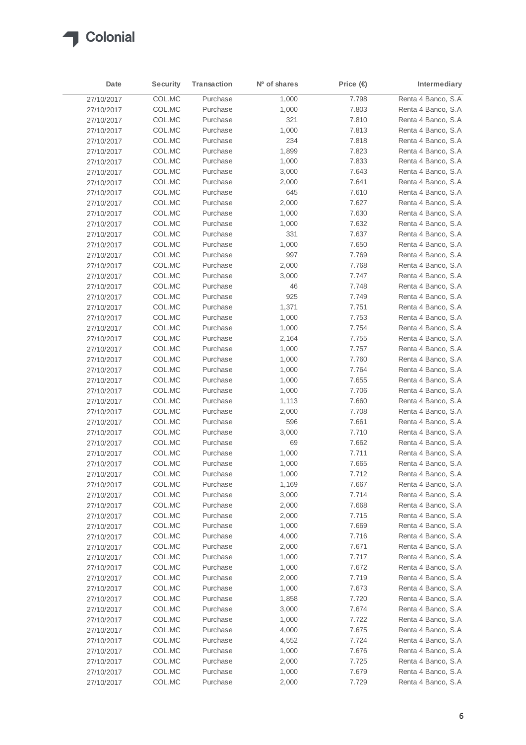

| Date       | <b>Security</b> | Transaction | Nº of shares | Price $\bigoplus$ | Intermediary        |
|------------|-----------------|-------------|--------------|-------------------|---------------------|
| 27/10/2017 | COL.MC          | Purchase    | 1,000        | 7.798             | Renta 4 Banco, S.A  |
| 27/10/2017 | COL.MC          | Purchase    | 1,000        | 7.803             | Renta 4 Banco, S.A  |
| 27/10/2017 | COL.MC          | Purchase    | 321          | 7.810             | Renta 4 Banco, S.A  |
| 27/10/2017 | COL.MC          | Purchase    | 1,000        | 7.813             | Renta 4 Banco, S.A  |
| 27/10/2017 | COL.MC          | Purchase    | 234          | 7.818             | Renta 4 Banco, S.A  |
| 27/10/2017 | COL.MC          | Purchase    | 1,899        | 7.823             | Renta 4 Banco, S.A  |
| 27/10/2017 | COL.MC          | Purchase    | 1,000        | 7.833             | Renta 4 Banco, S.A  |
| 27/10/2017 | COL.MC          | Purchase    | 3,000        | 7.643             | Renta 4 Banco, S.A  |
| 27/10/2017 | COL.MC          | Purchase    | 2,000        | 7.641             | Renta 4 Banco, S.A  |
| 27/10/2017 | COL.MC          | Purchase    | 645          | 7.610             | Renta 4 Banco, S.A  |
| 27/10/2017 | COL.MC          | Purchase    | 2,000        | 7.627             | Renta 4 Banco, S.A  |
| 27/10/2017 | COL.MC          | Purchase    | 1,000        | 7.630             | Renta 4 Banco, S.A  |
| 27/10/2017 | COL.MC          | Purchase    | 1,000        | 7.632             | Renta 4 Banco, S.A. |
| 27/10/2017 | COL.MC          | Purchase    | 331          | 7.637             | Renta 4 Banco, S.A. |
| 27/10/2017 | COL.MC          | Purchase    | 1,000        | 7.650             | Renta 4 Banco, S.A  |
| 27/10/2017 | COL.MC          | Purchase    | 997          | 7.769             | Renta 4 Banco, S.A  |
| 27/10/2017 | COL.MC          | Purchase    | 2,000        | 7.768             | Renta 4 Banco, S.A  |
| 27/10/2017 | COL.MC          | Purchase    | 3,000        | 7.747             | Renta 4 Banco, S.A  |
| 27/10/2017 | COL.MC          | Purchase    | 46           | 7.748             | Renta 4 Banco, S.A  |
| 27/10/2017 | COL.MC          | Purchase    | 925          | 7.749             | Renta 4 Banco, S.A  |
| 27/10/2017 | COL.MC          | Purchase    | 1,371        | 7.751             | Renta 4 Banco, S.A  |
| 27/10/2017 | COL.MC          | Purchase    | 1,000        | 7.753             | Renta 4 Banco, S.A  |
| 27/10/2017 | COL.MC          | Purchase    | 1,000        | 7.754             | Renta 4 Banco, S.A  |
| 27/10/2017 | COL.MC          | Purchase    | 2,164        | 7.755             | Renta 4 Banco, S.A  |
| 27/10/2017 | COL.MC          | Purchase    | 1,000        | 7.757             | Renta 4 Banco, S.A  |
| 27/10/2017 | COL.MC          | Purchase    | 1,000        | 7.760             | Renta 4 Banco, S.A  |
| 27/10/2017 | COL.MC          | Purchase    | 1,000        | 7.764             | Renta 4 Banco, S.A  |
| 27/10/2017 | COL.MC          | Purchase    | 1,000        | 7.655             | Renta 4 Banco, S.A. |
| 27/10/2017 | COL.MC          | Purchase    | 1,000        | 7.706             | Renta 4 Banco, S.A  |
| 27/10/2017 | COL.MC          | Purchase    | 1,113        | 7.660             | Renta 4 Banco, S.A  |
| 27/10/2017 | COL.MC          | Purchase    | 2,000        | 7.708             | Renta 4 Banco, S.A  |
| 27/10/2017 | COL.MC          | Purchase    | 596          | 7.661             | Renta 4 Banco, S.A  |
| 27/10/2017 | COL.MC          | Purchase    | 3,000        | 7.710             | Renta 4 Banco, S.A  |
| 27/10/2017 | COL.MC          | Purchase    | 69           | 7.662             | Renta 4 Banco, S.A  |
| 27/10/2017 | COL.MC          | Purchase    | 1,000        | 7.711             | Renta 4 Banco, S.A  |
| 27/10/2017 | COL.MC          | Purchase    | 1,000        | 7.665             | Renta 4 Banco, S.A  |
| 27/10/2017 | COL.MC          | Purchase    | 1,000        | 7.712             | Renta 4 Banco, S.A  |
| 27/10/2017 | COL.MC          | Purchase    | 1,169        | 7.667             | Renta 4 Banco, S.A  |
| 27/10/2017 | COL.MC          | Purchase    | 3,000        | 7.714             | Renta 4 Banco, S.A  |
| 27/10/2017 | COL.MC          | Purchase    | 2,000        | 7.668             | Renta 4 Banco, S.A. |
| 27/10/2017 | COL.MC          | Purchase    | 2,000        | 7.715             | Renta 4 Banco, S.A  |
| 27/10/2017 | COL.MC          | Purchase    | 1,000        | 7.669             | Renta 4 Banco, S.A  |
| 27/10/2017 | COL.MC          | Purchase    | 4,000        | 7.716             | Renta 4 Banco, S.A  |
| 27/10/2017 | COL.MC          | Purchase    | 2,000        | 7.671             | Renta 4 Banco, S.A  |
| 27/10/2017 | COL.MC          | Purchase    | 1,000        | 7.717             | Renta 4 Banco, S.A  |
| 27/10/2017 | COL.MC          | Purchase    | 1,000        | 7.672             | Renta 4 Banco, S.A  |
| 27/10/2017 | COL.MC          | Purchase    | 2,000        | 7.719             | Renta 4 Banco, S.A  |
| 27/10/2017 | COL.MC          | Purchase    | 1,000        | 7.673             | Renta 4 Banco, S.A  |
| 27/10/2017 | COL.MC          | Purchase    | 1,858        | 7.720             | Renta 4 Banco, S.A  |
| 27/10/2017 | COL.MC          | Purchase    | 3,000        | 7.674             | Renta 4 Banco, S.A  |
| 27/10/2017 | COL.MC          | Purchase    | 1,000        | 7.722             | Renta 4 Banco, S.A  |
| 27/10/2017 | COL.MC          | Purchase    | 4,000        | 7.675             | Renta 4 Banco, S.A  |
| 27/10/2017 | COL.MC          | Purchase    | 4,552        | 7.724             | Renta 4 Banco, S.A. |
| 27/10/2017 | COL.MC          | Purchase    | 1,000        | 7.676             | Renta 4 Banco, S.A  |
| 27/10/2017 | COL.MC          | Purchase    | 2,000        | 7.725             | Renta 4 Banco, S.A. |
| 27/10/2017 | COL.MC          | Purchase    | 1,000        | 7.679             | Renta 4 Banco, S.A  |
| 27/10/2017 | COL.MC          | Purchase    | 2,000        | 7.729             | Renta 4 Banco, S.A  |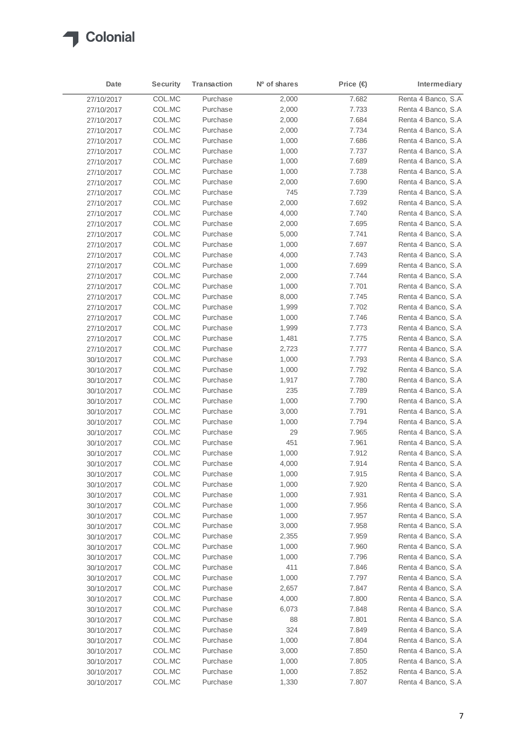

| Date       | <b>Security</b> | Transaction | Nº of shares | Price $\bigoplus$ | Intermediary        |
|------------|-----------------|-------------|--------------|-------------------|---------------------|
| 27/10/2017 | COL.MC          | Purchase    | 2,000        | 7.682             | Renta 4 Banco, S.A  |
| 27/10/2017 | COL.MC          | Purchase    | 2,000        | 7.733             | Renta 4 Banco, S.A  |
| 27/10/2017 | COL.MC          | Purchase    | 2,000        | 7.684             | Renta 4 Banco, S.A. |
| 27/10/2017 | COL.MC          | Purchase    | 2,000        | 7.734             | Renta 4 Banco, S.A  |
| 27/10/2017 | COL.MC          | Purchase    | 1,000        | 7.686             | Renta 4 Banco, S.A  |
| 27/10/2017 | COL.MC          | Purchase    | 1,000        | 7.737             | Renta 4 Banco, S.A  |
| 27/10/2017 | COL.MC          | Purchase    | 1,000        | 7.689             | Renta 4 Banco, S.A  |
| 27/10/2017 | COL.MC          | Purchase    | 1,000        | 7.738             | Renta 4 Banco, S.A. |
| 27/10/2017 | COL.MC          | Purchase    | 2,000        | 7.690             | Renta 4 Banco, S.A  |
| 27/10/2017 | COL.MC          | Purchase    | 745          | 7.739             | Renta 4 Banco, S.A  |
| 27/10/2017 | COL.MC          | Purchase    | 2,000        | 7.692             | Renta 4 Banco, S.A  |
| 27/10/2017 | COL.MC          | Purchase    | 4,000        | 7.740             | Renta 4 Banco, S.A  |
| 27/10/2017 | COL.MC          | Purchase    | 2,000        | 7.695             | Renta 4 Banco, S.A  |
| 27/10/2017 | COL.MC          | Purchase    | 5,000        | 7.741             | Renta 4 Banco, S.A  |
| 27/10/2017 | COL.MC          | Purchase    | 1,000        | 7.697             | Renta 4 Banco, S.A. |
| 27/10/2017 | COL.MC          | Purchase    | 4,000        | 7.743             | Renta 4 Banco, S.A  |
| 27/10/2017 | COL.MC          | Purchase    | 1,000        | 7.699             | Renta 4 Banco, S.A  |
| 27/10/2017 | COL.MC          | Purchase    | 2,000        | 7.744             | Renta 4 Banco, S.A  |
| 27/10/2017 | COL.MC          | Purchase    | 1,000        | 7.701             | Renta 4 Banco, S.A  |
| 27/10/2017 | COL.MC          | Purchase    | 8,000        | 7.745             | Renta 4 Banco, S.A  |
| 27/10/2017 | COL.MC          | Purchase    | 1,999        | 7.702             | Renta 4 Banco, S.A  |
| 27/10/2017 | COL.MC          | Purchase    | 1,000        | 7.746             | Renta 4 Banco, S.A  |
| 27/10/2017 | COL.MC          | Purchase    | 1,999        | 7.773             | Renta 4 Banco, S.A  |
| 27/10/2017 | COL.MC          | Purchase    | 1,481        | 7.775             | Renta 4 Banco, S.A  |
| 27/10/2017 | COL.MC          | Purchase    | 2,723        | 7.777             | Renta 4 Banco, S.A  |
| 30/10/2017 | COL.MC          | Purchase    | 1,000        | 7.793             | Renta 4 Banco, S.A  |
| 30/10/2017 | COL.MC          | Purchase    | 1,000        | 7.792             | Renta 4 Banco, S.A  |
| 30/10/2017 | COL.MC          | Purchase    | 1,917        | 7.780             | Renta 4 Banco, S.A. |
| 30/10/2017 | COL.MC          | Purchase    | 235          | 7.789             | Renta 4 Banco, S.A  |
| 30/10/2017 | COL.MC          | Purchase    | 1,000        | 7.790             | Renta 4 Banco, S.A  |
| 30/10/2017 | COL.MC          | Purchase    | 3,000        | 7.791             | Renta 4 Banco, S.A  |
| 30/10/2017 | COL.MC          | Purchase    | 1,000        | 7.794             | Renta 4 Banco, S.A  |
| 30/10/2017 | COL.MC          | Purchase    | 29           | 7.965             | Renta 4 Banco, S.A  |
| 30/10/2017 | COL.MC          | Purchase    | 451          | 7.961             | Renta 4 Banco, S.A  |
| 30/10/2017 | COL.MC          | Purchase    | 1,000        | 7.912             | Renta 4 Banco, S.A  |
| 30/10/2017 | COL.MC          | Purchase    | 4,000        | 7.914             | Renta 4 Banco, S.A  |
| 30/10/2017 | COL.MC          | Purchase    | 1,000        | 7.915             | Renta 4 Banco, S.A. |
| 30/10/2017 | COL.MC          | Purchase    | 1,000        | 7.920             | Renta 4 Banco, S.A  |
| 30/10/2017 | COL.MC          | Purchase    | 1,000        | 7.931             | Renta 4 Banco, S.A  |
| 30/10/2017 | COL.MC          | Purchase    | 1,000        | 7.956             | Renta 4 Banco, S.A  |
| 30/10/2017 | COL.MC          | Purchase    | 1,000        | 7.957             | Renta 4 Banco, S.A  |
| 30/10/2017 | COL.MC          | Purchase    | 3,000        | 7.958             | Renta 4 Banco, S.A  |
| 30/10/2017 | COL.MC          | Purchase    | 2,355        | 7.959             | Renta 4 Banco, S.A  |
| 30/10/2017 | COL.MC          | Purchase    | 1,000        | 7.960             | Renta 4 Banco, S.A  |
| 30/10/2017 | COL.MC          | Purchase    | 1,000        | 7.796             | Renta 4 Banco, S.A  |
| 30/10/2017 | COL.MC          | Purchase    | 411          | 7.846             | Renta 4 Banco, S.A  |
| 30/10/2017 | COL.MC          | Purchase    | 1,000        | 7.797             | Renta 4 Banco, S.A  |
| 30/10/2017 | COL.MC          | Purchase    | 2,657        | 7.847             | Renta 4 Banco, S.A  |
| 30/10/2017 | COL.MC          | Purchase    | 4,000        | 7.800             | Renta 4 Banco, S.A  |
| 30/10/2017 | COL.MC          | Purchase    | 6,073        | 7.848             | Renta 4 Banco, S.A  |
| 30/10/2017 | COL.MC          | Purchase    | 88           | 7.801             | Renta 4 Banco, S.A  |
| 30/10/2017 | COL.MC          | Purchase    | 324          | 7.849             | Renta 4 Banco, S.A  |
| 30/10/2017 | COL.MC          | Purchase    | 1,000        | 7.804             | Renta 4 Banco, S.A  |
| 30/10/2017 | COL.MC          | Purchase    | 3,000        | 7.850             | Renta 4 Banco, S.A  |
| 30/10/2017 | COL.MC          | Purchase    | 1,000        | 7.805             | Renta 4 Banco, S.A. |
| 30/10/2017 | COL.MC          | Purchase    | 1,000        | 7.852             | Renta 4 Banco, S.A  |
| 30/10/2017 | COL.MC          | Purchase    | 1,330        | 7.807             | Renta 4 Banco, S.A  |